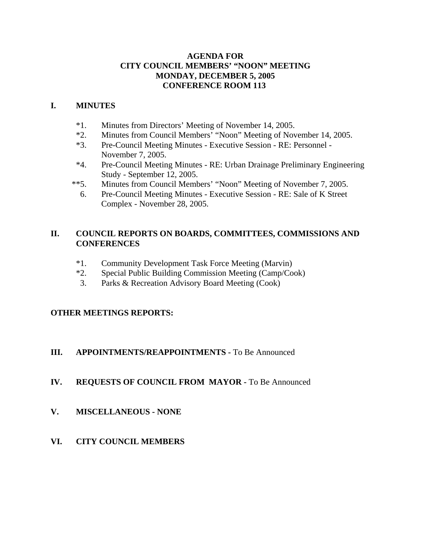# **AGENDA FOR CITY COUNCIL MEMBERS' "NOON" MEETING MONDAY, DECEMBER 5, 2005 CONFERENCE ROOM 113**

# **I. MINUTES**

- \*1. Minutes from Directors' Meeting of November 14, 2005.
- \*2. Minutes from Council Members' "Noon" Meeting of November 14, 2005.
- \*3. Pre-Council Meeting Minutes Executive Session RE: Personnel November 7, 2005.
- \*4. Pre-Council Meeting Minutes RE: Urban Drainage Preliminary Engineering Study - September 12, 2005.
- \*\*5. Minutes from Council Members' "Noon" Meeting of November 7, 2005.
	- 6. Pre-Council Meeting Minutes Executive Session RE: Sale of K Street Complex - November 28, 2005.

# **II. COUNCIL REPORTS ON BOARDS, COMMITTEES, COMMISSIONS AND CONFERENCES**

- \*1. Community Development Task Force Meeting (Marvin)
- \*2. Special Public Building Commission Meeting (Camp/Cook)
- 3. Parks & Recreation Advisory Board Meeting (Cook)

# **OTHER MEETINGS REPORTS:**

# **III.** APPOINTMENTS/REAPPOINTMENTS - To Be Announced

- **IV. REQUESTS OF COUNCIL FROM MAYOR -** To Be Announced
- **V. MISCELLANEOUS NONE**
- **VI. CITY COUNCIL MEMBERS**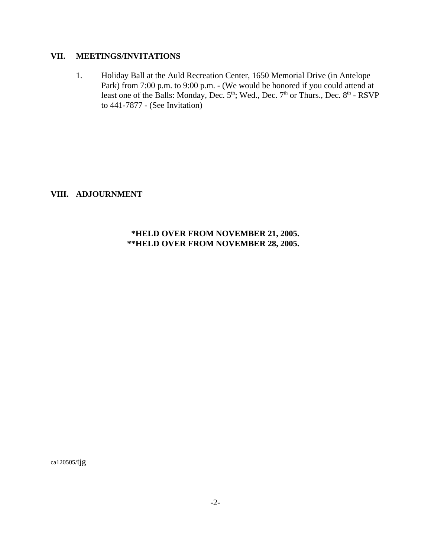# **VII. MEETINGS/INVITATIONS**

 1. Holiday Ball at the Auld Recreation Center, 1650 Memorial Drive (in Antelope Park) from 7:00 p.m. to 9:00 p.m. - (We would be honored if you could attend at least one of the Balls: Monday, Dec. 5<sup>th</sup>; Wed., Dec. 7<sup>th</sup> or Thurs., Dec. 8<sup>th</sup> - RSVP to 441-7877 - (See Invitation)

**VIII. ADJOURNMENT**

# **\*HELD OVER FROM NOVEMBER 21, 2005. \*\*HELD OVER FROM NOVEMBER 28, 2005.**

ca120505/tjg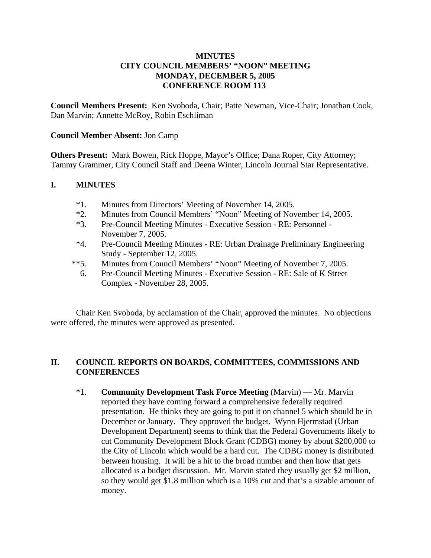# **MINUTES CITY COUNCIL MEMBERS' "NOON" MEETING MONDAY, DECEMBER 5, 2005 CONFERENCE ROOM 113**

**Council Members Present:** Ken Svoboda, Chair; Patte Newman, Vice-Chair; Jonathan Cook, Dan Marvin; Annette McRoy, Robin Eschliman

### **Council Member Absent:** Jon Camp

**Others Present:** Mark Bowen, Rick Hoppe, Mayor's Office; Dana Roper, City Attorney; Tammy Grammer, City Council Staff and Deena Winter, Lincoln Journal Star Representative.

## **I. MINUTES**

- \*1. Minutes from Directors' Meeting of November 14, 2005.
- \*2. Minutes from Council Members' "Noon" Meeting of November 14, 2005.
- \*3. Pre-Council Meeting Minutes Executive Session RE: Personnel November 7, 2005.
- \*4. Pre-Council Meeting Minutes RE: Urban Drainage Preliminary Engineering Study - September 12, 2005.
- \*\*5. Minutes from Council Members' "Noon" Meeting of November 7, 2005.
	- 6. Pre-Council Meeting Minutes Executive Session RE: Sale of K Street Complex - November 28, 2005.

Chair Ken Svoboda, by acclamation of the Chair, approved the minutes. No objections were offered, the minutes were approved as presented.

# **II. COUNCIL REPORTS ON BOARDS, COMMITTEES, COMMISSIONS AND CONFERENCES**

\*1. **Community Development Task Force Meeting** (Marvin) — Mr. Marvin reported they have coming forward a comprehensive federally required presentation. He thinks they are going to put it on channel 5 which should be in December or January. They approved the budget. Wynn Hjermstad (Urban Development Department) seems to think that the Federal Governments likely to cut Community Development Block Grant (CDBG) money by about \$200,000 to the City of Lincoln which would be a hard cut. The CDBG money is distributed between housing. It will be a hit to the broad number and then how that gets allocated is a budget discussion. Mr. Marvin stated they usually get \$2 million, so they would get \$1.8 million which is a 10% cut and that's a sizable amount of money.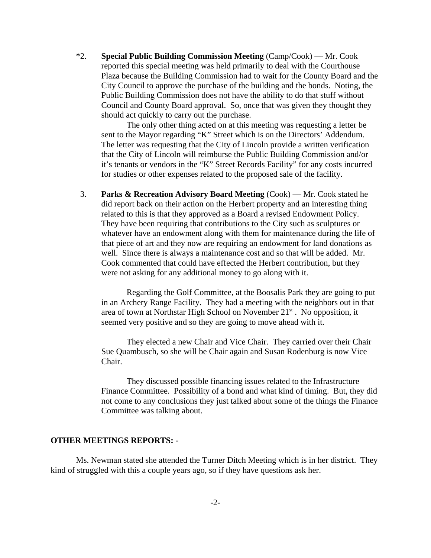\*2. **Special Public Building Commission Meeting** (Camp/Cook) — Mr. Cook reported this special meeting was held primarily to deal with the Courthouse Plaza because the Building Commission had to wait for the County Board and the City Council to approve the purchase of the building and the bonds. Noting, the Public Building Commission does not have the ability to do that stuff without Council and County Board approval. So, once that was given they thought they should act quickly to carry out the purchase.

The only other thing acted on at this meeting was requesting a letter be sent to the Mayor regarding "K" Street which is on the Directors' Addendum. The letter was requesting that the City of Lincoln provide a written verification that the City of Lincoln will reimburse the Public Building Commission and/or it's tenants or vendors in the "K" Street Records Facility" for any costs incurred for studies or other expenses related to the proposed sale of the facility.

 3. **Parks & Recreation Advisory Board Meeting** (Cook) — Mr. Cook stated he did report back on their action on the Herbert property and an interesting thing related to this is that they approved as a Board a revised Endowment Policy. They have been requiring that contributions to the City such as sculptures or whatever have an endowment along with them for maintenance during the life of that piece of art and they now are requiring an endowment for land donations as well. Since there is always a maintenance cost and so that will be added. Mr. Cook commented that could have effected the Herbert contribution, but they were not asking for any additional money to go along with it.

Regarding the Golf Committee, at the Boosalis Park they are going to put in an Archery Range Facility. They had a meeting with the neighbors out in that area of town at Northstar High School on November  $21<sup>st</sup>$ . No opposition, it seemed very positive and so they are going to move ahead with it.

They elected a new Chair and Vice Chair. They carried over their Chair Sue Quambusch, so she will be Chair again and Susan Rodenburg is now Vice Chair.

They discussed possible financing issues related to the Infrastructure Finance Committee. Possibility of a bond and what kind of timing. But, they did not come to any conclusions they just talked about some of the things the Finance Committee was talking about.

#### **OTHER MEETINGS REPORTS:** -

Ms. Newman stated she attended the Turner Ditch Meeting which is in her district. They kind of struggled with this a couple years ago, so if they have questions ask her.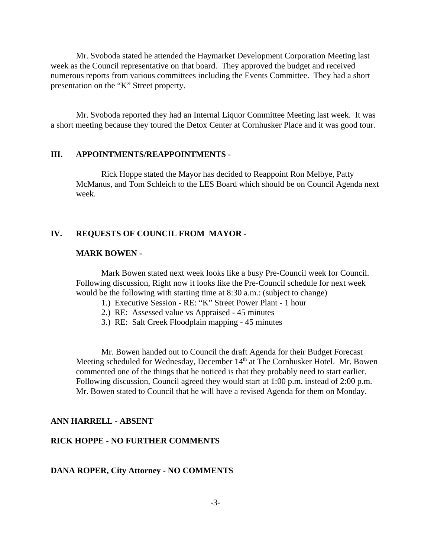Mr. Svoboda stated he attended the Haymarket Development Corporation Meeting last week as the Council representative on that board. They approved the budget and received numerous reports from various committees including the Events Committee. They had a short presentation on the "K" Street property.

Mr. Svoboda reported they had an Internal Liquor Committee Meeting last week. It was a short meeting because they toured the Detox Center at Cornhusker Place and it was good tour.

#### **III. APPOINTMENTS/REAPPOINTMENTS** -

Rick Hoppe stated the Mayor has decided to Reappoint Ron Melbye, Patty McManus, and Tom Schleich to the LES Board which should be on Council Agenda next week.

### **IV. REQUESTS OF COUNCIL FROM MAYOR -**

#### **MARK BOWEN -**

Mark Bowen stated next week looks like a busy Pre-Council week for Council. Following discussion, Right now it looks like the Pre-Council schedule for next week would be the following with starting time at 8:30 a.m.: (subject to change)

- 1.) Executive Session RE: "K" Street Power Plant 1 hour
- 2.) RE: Assessed value vs Appraised 45 minutes
- 3.) RE: Salt Creek Floodplain mapping 45 minutes

Mr. Bowen handed out to Council the draft Agenda for their Budget Forecast Meeting scheduled for Wednesday, December  $14<sup>th</sup>$  at The Cornhusker Hotel. Mr. Bowen commented one of the things that he noticed is that they probably need to start earlier. Following discussion, Council agreed they would start at 1:00 p.m. instead of 2:00 p.m. Mr. Bowen stated to Council that he will have a revised Agenda for them on Monday.

#### **ANN HARRELL - ABSENT**

#### **RICK HOPPE - NO FURTHER COMMENTS**

#### **DANA ROPER, City Attorney - NO COMMENTS**